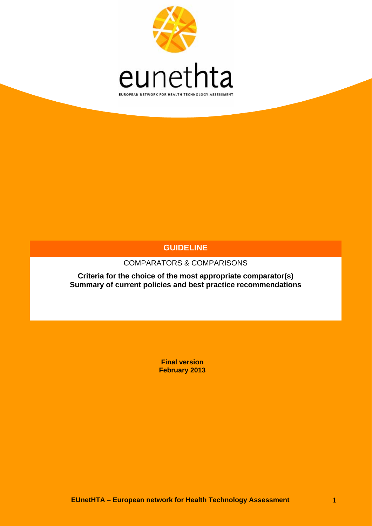

### **GUIDELINE**

COMPARATORS & COMPARISONS

**Criteria for the choice of the most appropriate comparator(s) Summary of current policies and best practice recommendations** 

> **Final version February 2013**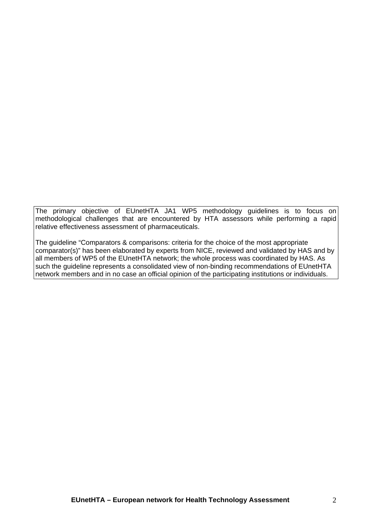The primary objective of EUnetHTA JA1 WP5 methodology guidelines is to focus on methodological challenges that are encountered by HTA assessors while performing a rapid relative effectiveness assessment of pharmaceuticals.

The guideline "Comparators & comparisons: criteria for the choice of the most appropriate comparator(s)" has been elaborated by experts from NICE, reviewed and validated by HAS and by all members of WP5 of the EUnetHTA network; the whole process was coordinated by HAS. As such the guideline represents a consolidated view of non-binding recommendations of EUnetHTA network members and in no case an official opinion of the participating institutions or individuals.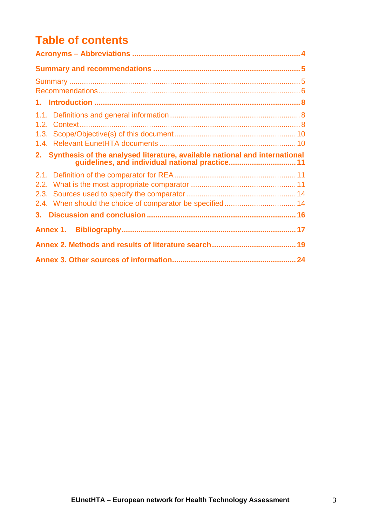# **Table of contents**

| 2. Synthesis of the analysed literature, available national and international |  |
|-------------------------------------------------------------------------------|--|
|                                                                               |  |
|                                                                               |  |
|                                                                               |  |
|                                                                               |  |
|                                                                               |  |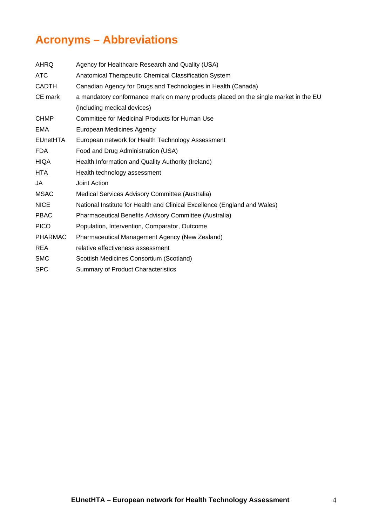# <span id="page-3-0"></span>**Acronyms – Abbreviations**

| AHRQ            | Agency for Healthcare Research and Quality (USA)                                    |  |  |
|-----------------|-------------------------------------------------------------------------------------|--|--|
| ATC             | Anatomical Therapeutic Chemical Classification System                               |  |  |
| <b>CADTH</b>    | Canadian Agency for Drugs and Technologies in Health (Canada)                       |  |  |
| CE mark         | a mandatory conformance mark on many products placed on the single market in the EU |  |  |
|                 | (including medical devices)                                                         |  |  |
| <b>CHMP</b>     | Committee for Medicinal Products for Human Use                                      |  |  |
| EMA             | European Medicines Agency                                                           |  |  |
| <b>EUnetHTA</b> | European network for Health Technology Assessment                                   |  |  |
| <b>FDA</b>      | Food and Drug Administration (USA)                                                  |  |  |
| HIQA            | Health Information and Quality Authority (Ireland)                                  |  |  |
| HTA             | Health technology assessment                                                        |  |  |
| JA              | Joint Action                                                                        |  |  |
| <b>MSAC</b>     | Medical Services Advisory Committee (Australia)                                     |  |  |
| <b>NICE</b>     | National Institute for Health and Clinical Excellence (England and Wales)           |  |  |
| <b>PBAC</b>     | Pharmaceutical Benefits Advisory Committee (Australia)                              |  |  |
| <b>PICO</b>     | Population, Intervention, Comparator, Outcome                                       |  |  |
| <b>PHARMAC</b>  | Pharmaceutical Management Agency (New Zealand)                                      |  |  |
| <b>REA</b>      | relative effectiveness assessment                                                   |  |  |
| <b>SMC</b>      | Scottish Medicines Consortium (Scotland)                                            |  |  |
| <b>SPC</b>      | <b>Summary of Product Characteristics</b>                                           |  |  |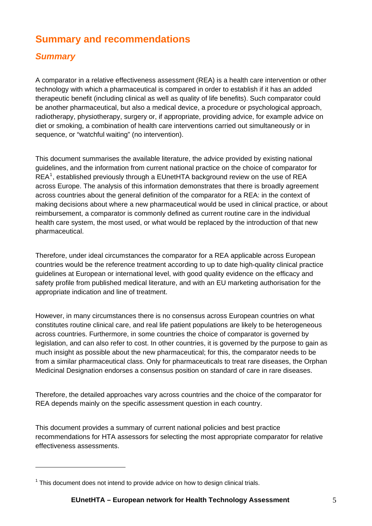# <span id="page-4-0"></span>**Summary and recommendations**

### <span id="page-4-1"></span>*Summary*

 $\overline{a}$ 

A comparator in a relative effectiveness assessment (REA) is a health care intervention or other technology with which a pharmaceutical is compared in order to establish if it has an added therapeutic benefit (including clinical as well as quality of life benefits). Such comparator could be another pharmaceutical, but also a medical device, a procedure or psychological approach, radiotherapy, physiotherapy, surgery or, if appropriate, providing advice, for example advice on diet or smoking, a combination of health care interventions carried out simultaneously or in sequence, or "watchful waiting" (no intervention).

This document summarises the available literature, the advice provided by existing national guidelines, and the information from current national practice on the choice of comparator for  $REA^1$  $REA^1$ , established previously through a EUnetHTA background review on the use of REA across Europe. The analysis of this information demonstrates that there is broadly agreement across countries about the general definition of the comparator for a REA: in the context of making decisions about where a new pharmaceutical would be used in clinical practice, or about reimbursement, a comparator is commonly defined as current routine care in the individual health care system, the most used, or what would be replaced by the introduction of that new pharmaceutical.

Therefore, under ideal circumstances the comparator for a REA applicable across European countries would be the reference treatment according to up to date high-quality clinical practice guidelines at European or international level, with good quality evidence on the efficacy and safety profile from published medical literature, and with an EU marketing authorisation for the appropriate indication and line of treatment.

However, in many circumstances there is no consensus across European countries on what constitutes routine clinical care, and real life patient populations are likely to be heterogeneous across countries. Furthermore, in some countries the choice of comparator is governed by legislation, and can also refer to cost. In other countries, it is governed by the purpose to gain as much insight as possible about the new pharmaceutical; for this, the comparator needs to be from a similar pharmaceutical class. Only for pharmaceuticals to treat rare diseases, the Orphan Medicinal Designation endorses a consensus position on standard of care in rare diseases.

Therefore, the detailed approaches vary across countries and the choice of the comparator for REA depends mainly on the specific assessment question in each country.

This document provides a summary of current national policies and best practice recommendations for HTA assessors for selecting the most appropriate comparator for relative effectiveness assessments.

<span id="page-4-2"></span> $1$  This document does not intend to provide advice on how to design clinical trials.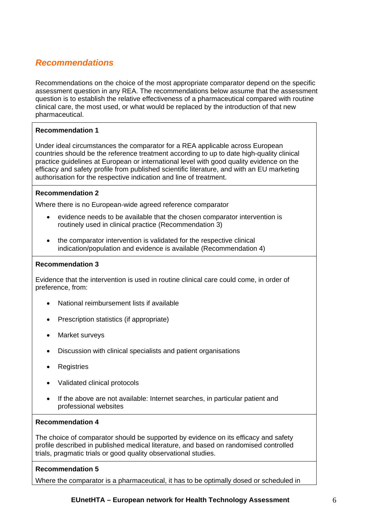### <span id="page-5-0"></span>*Recommendations*

Recommendations on the choice of the most appropriate comparator depend on the specific assessment question in any REA. The recommendations below assume that the assessment question is to establish the relative effectiveness of a pharmaceutical compared with routine clinical care, the most used, or what would be replaced by the introduction of that new pharmaceutical.

#### **Recommendation 1**

Under ideal circumstances the comparator for a REA applicable across European countries should be the reference treatment according to up to date high-quality clinical practice guidelines at European or international level with good quality evidence on the efficacy and safety profile from published scientific literature, and with an EU marketing authorisation for the respective indication and line of treatment.

#### **Recommendation 2**

Where there is no European-wide agreed reference comparator

- evidence needs to be available that the chosen comparator intervention is routinely used in clinical practice (Recommendation 3)
- the comparator intervention is validated for the respective clinical indication/population and evidence is available (Recommendation 4)

#### **Recommendation 3**

Evidence that the intervention is used in routine clinical care could come, in order of preference, from:

- National reimbursement lists if available
- Prescription statistics (if appropriate)
- Market surveys
- Discussion with clinical specialists and patient organisations
- Registries
- Validated clinical protocols
- If the above are not available: Internet searches, in particular patient and professional websites

#### **Recommendation 4**

The choice of comparator should be supported by evidence on its efficacy and safety profile described in published medical literature, and based on randomised controlled trials, pragmatic trials or good quality observational studies.

#### **Recommendation 5**

Where the comparator is a pharmaceutical, it has to be optimally dosed or scheduled in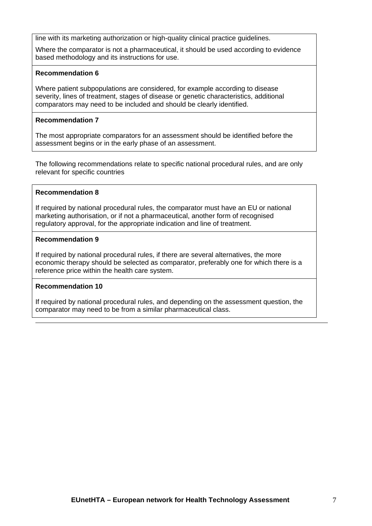line with its marketing authorization or high-quality clinical practice guidelines.

Where the comparator is not a pharmaceutical, it should be used according to evidence based methodology and its instructions for use.

#### **Recommendation 6**

Where patient subpopulations are considered, for example according to disease severity, lines of treatment, stages of disease or genetic characteristics, additional comparators may need to be included and should be clearly identified.

#### **Recommendation 7**

The most appropriate comparators for an assessment should be identified before the assessment begins or in the early phase of an assessment.

The following recommendations relate to specific national procedural rules, and are only relevant for specific countries

#### **Recommendation 8**

If required by national procedural rules, the comparator must have an EU or national marketing authorisation, or if not a pharmaceutical, another form of recognised regulatory approval, for the appropriate indication and line of treatment.

#### **Recommendation 9**

If required by national procedural rules, if there are several alternatives, the more economic therapy should be selected as comparator, preferably one for which there is a reference price within the health care system.

#### **Recommendation 10**

 $\overline{a}$ 

If required by national procedural rules, and depending on the assessment question, the comparator may need to be from a similar pharmaceutical class.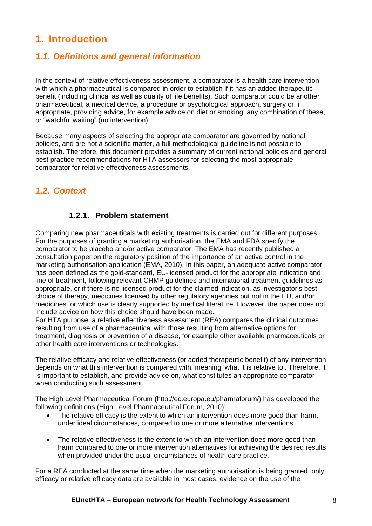## <span id="page-7-0"></span>**1. Introduction**

### <span id="page-7-1"></span>*1.1. Definitions and general information*

In the context of relative effectiveness assessment, a comparator is a health care intervention with which a pharmaceutical is compared in order to establish if it has an added therapeutic benefit (including clinical as well as quality of life benefits). Such comparator could be another pharmaceutical, a medical device, a procedure or psychological approach, surgery or, if appropriate, providing advice, for example advice on diet or smoking, any combination of these, or "watchful waiting" (no intervention).

Because many aspects of selecting the appropriate comparator are governed by national policies, and are not a scientific matter, a full methodological guideline is not possible to establish. Therefore, this document provides a summary of current national policies and general best practice recommendations for HTA assessors for selecting the most appropriate comparator for relative effectiveness assessments.

### <span id="page-7-2"></span>*1.2. Context*

#### **1.2.1. Problem statement**

Comparing new pharmaceuticals with existing treatments is carried out for different purposes. For the purposes of granting a marketing authorisation, the EMA and FDA specify the comparator to be placebo and/or active comparator. The EMA has recently published a consultation paper on the regulatory position of the importance of an active control in the marketing authorisation application (EMA, 2010). In this paper, an adequate active comparator has been defined as the gold-standard, EU-licensed product for the appropriate indication and line of treatment, following relevant CHMP guidelines and international treatment guidelines as appropriate, or if there is no licensed product for the claimed indication, as investigator's best choice of therapy, medicines licensed by other regulatory agencies but not in the EU, and/or medicines for which use is clearly supported by medical literature. However, the paper does not include advice on how this choice should have been made.

For HTA purpose, a relative effectiveness assessment (REA) compares the clinical outcomes resulting from use of a pharmaceutical with those resulting from alternative options for treatment, diagnosis or prevention of a disease, for example other available pharmaceuticals or other health care interventions or technologies.

The relative efficacy and relative effectiveness (or added therapeutic benefit) of any intervention depends on what this intervention is compared with, meaning 'what it is relative to'. Therefore, it is important to establish, and provide advice on, what constitutes an appropriate comparator when conducting such assessment.

The High Level Pharmaceutical Forum (http://ec.europa.eu/pharmaforum/) has developed the following definitions (High Level Pharmaceutical Forum, 2010):

- The relative efficacy is the extent to which an intervention does more good than harm, under ideal circumstances, compared to one or more alternative interventions.
- The relative effectiveness is the extent to which an intervention does more good than harm compared to one or more intervention alternatives for achieving the desired results when provided under the usual circumstances of health care practice.

For a REA conducted at the same time when the marketing authorisation is being granted, only efficacy or relative efficacy data are available in most cases; evidence on the use of the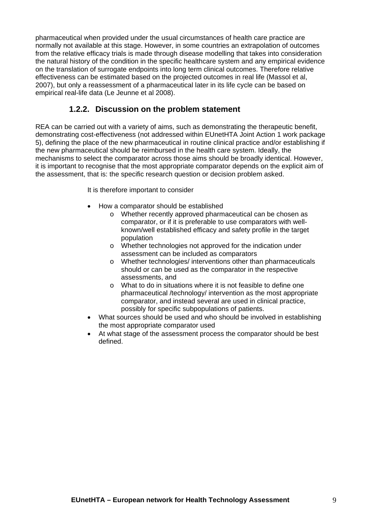pharmaceutical when provided under the usual circumstances of health care practice are normally not available at this stage. However, in some countries an extrapolation of outcomes from the relative efficacy trials is made through disease modelling that takes into consideration the natural history of the condition in the specific healthcare system and any empirical evidence on the translation of surrogate endpoints into long term clinical outcomes. Therefore relative effectiveness can be estimated based on the projected outcomes in real life (Massol et al, 2007), but only a reassessment of a pharmaceutical later in its life cycle can be based on empirical real-life data (Le Jeunne et al 2008).

### **1.2.2. Discussion on the problem statement**

REA can be carried out with a variety of aims, such as demonstrating the therapeutic benefit, demonstrating cost-effectiveness (not addressed within EUnetHTA Joint Action 1 work package 5), defining the place of the new pharmaceutical in routine clinical practice and/or establishing if the new pharmaceutical should be reimbursed in the health care system. Ideally, the mechanisms to select the comparator across those aims should be broadly identical. However, it is important to recognise that the most appropriate comparator depends on the explicit aim of the assessment, that is: the specific research question or decision problem asked.

It is therefore important to consider

- How a comparator should be established
	- o Whether recently approved pharmaceutical can be chosen as comparator, or if it is preferable to use comparators with wellknown/well established efficacy and safety profile in the target population
	- o Whether technologies not approved for the indication under assessment can be included as comparators
	- o Whether technologies/ interventions other than pharmaceuticals should or can be used as the comparator in the respective assessments, and
	- o What to do in situations where it is not feasible to define one pharmaceutical /technology/ intervention as the most appropriate comparator, and instead several are used in clinical practice, possibly for specific subpopulations of patients.
- What sources should be used and who should be involved in establishing the most appropriate comparator used
- At what stage of the assessment process the comparator should be best defined.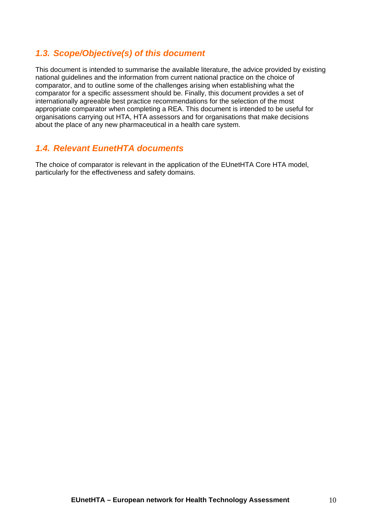### <span id="page-9-0"></span>*1.3. Scope/Objective(s) of this document*

This document is intended to summarise the available literature, the advice provided by existing national guidelines and the information from current national practice on the choice of comparator, and to outline some of the challenges arising when establishing what the comparator for a specific assessment should be. Finally, this document provides a set of internationally agreeable best practice recommendations for the selection of the most appropriate comparator when completing a REA. This document is intended to be useful for organisations carrying out HTA, HTA assessors and for organisations that make decisions about the place of any new pharmaceutical in a health care system.

### <span id="page-9-1"></span>*1.4. Relevant EunetHTA documents*

The choice of comparator is relevant in the application of the EUnetHTA Core HTA model, particularly for the effectiveness and safety domains.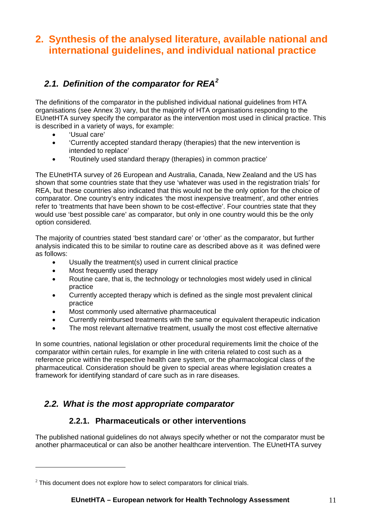## <span id="page-10-0"></span>**2. Synthesis of the analysed literature, available national and international guidelines, and individual national practice**

### *2.1. Definition of the comparator for REA[2](#page-10-3)*

<span id="page-10-1"></span>The definitions of the comparator in the published individual national guidelines from HTA organisations (see Annex 3) vary, but the majority of HTA organisations responding to the EUnetHTA survey specify the comparator as the intervention most used in clinical practice. This is described in a variety of ways, for example:

- 'Usual care'
- 'Currently accepted standard therapy (therapies) that the new intervention is intended to replace'
- 'Routinely used standard therapy (therapies) in common practice'

The EUnetHTA survey of 26 European and Australia, Canada, New Zealand and the US has shown that some countries state that they use 'whatever was used in the registration trials' for REA, but these countries also indicated that this would not be the only option for the choice of comparator. One country's entry indicates 'the most inexpensive treatment', and other entries refer to 'treatments that have been shown to be cost-effective'. Four countries state that they would use 'best possible care' as comparator, but only in one country would this be the only option considered.

The majority of countries stated 'best standard care' or 'other' as the comparator, but further analysis indicated this to be similar to routine care as described above as it was defined were as follows:

- Usually the treatment(s) used in current clinical practice
- Most frequently used therapy

 $\overline{a}$ 

- Routine care, that is, the technology or technologies most widely used in clinical practice
- Currently accepted therapy which is defined as the single most prevalent clinical practice
- Most commonly used alternative pharmaceutical
- Currently reimbursed treatments with the same or equivalent therapeutic indication
- The most relevant alternative treatment, usually the most cost effective alternative

In some countries, national legislation or other procedural requirements limit the choice of the comparator within certain rules, for example in line with criteria related to cost such as a reference price within the respective health care system, or the pharmacological class of the pharmaceutical. Consideration should be given to special areas where legislation creates a framework for identifying standard of care such as in rare diseases.

### <span id="page-10-2"></span>*2.2. What is the most appropriate comparator*

### **2.2.1. Pharmaceuticals or other interventions**

The published national guidelines do not always specify whether or not the comparator must be another pharmaceutical or can also be another healthcare intervention. The EUnetHTA survey

<span id="page-10-3"></span> $2$  This document does not explore how to select comparators for clinical trials.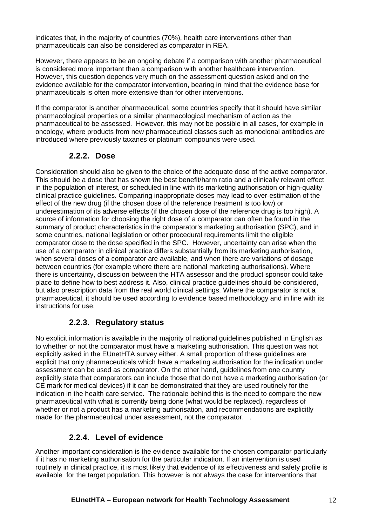indicates that, in the majority of countries (70%), health care interventions other than pharmaceuticals can also be considered as comparator in REA.

However, there appears to be an ongoing debate if a comparison with another pharmaceutical is considered more important than a comparison with another healthcare intervention. However, this question depends very much on the assessment question asked and on the evidence available for the comparator intervention, bearing in mind that the evidence base for pharmaceuticals is often more extensive than for other interventions.

If the comparator is another pharmaceutical, some countries specify that it should have similar pharmacological properties or a similar pharmacological mechanism of action as the pharmaceutical to be assessed. However, this may not be possible in all cases, for example in oncology, where products from new pharmaceutical classes such as monoclonal antibodies are introduced where previously taxanes or platinum compounds were used.

### **2.2.2. Dose**

Consideration should also be given to the choice of the adequate dose of the active comparator. This should be a dose that has shown the best benefit/harm ratio and a clinically relevant effect in the population of interest, or scheduled in line with its marketing authorisation or high-quality clinical practice guidelines. Comparing inappropriate doses may lead to over-estimation of the effect of the new drug (if the chosen dose of the reference treatment is too low) or underestimation of its adverse effects (if the chosen dose of the reference drug is too high). A source of information for choosing the right dose of a comparator can often be found in the summary of product characteristics in the comparator's marketing authorisation (SPC), and in some countries, national legislation or other procedural requirements limit the eligible comparator dose to the dose specified in the SPC. However, uncertainty can arise when the use of a comparator in clinical practice differs substantially from its marketing authorisation, when several doses of a comparator are available, and when there are variations of dosage between countries (for example where there are national marketing authorisations). Where there is uncertainty, discussion between the HTA assessor and the product sponsor could take place to define how to best address it. Also, clinical practice guidelines should be considered, but also prescription data from the real world clinical settings. Where the comparator is not a pharmaceutical, it should be used according to evidence based methodology and in line with its instructions for use.

### **2.2.3. Regulatory status**

No explicit information is available in the majority of national guidelines published in English as to whether or not the comparator must have a marketing authorisation. This question was not explicitly asked in the EUnetHTA survey either. A small proportion of these guidelines are explicit that only pharmaceuticals which have a marketing authorisation for the indication under assessment can be used as comparator. On the other hand, guidelines from one country explicitly state that comparators can include those that do not have a marketing authorisation (or CE mark for medical devices) if it can be demonstrated that they are used routinely for the indication in the health care service. The rationale behind this is the need to compare the new pharmaceutical with what is currently being done (what would be replaced), regardless of whether or not a product has a marketing authorisation, and recommendations are explicitly made for the pharmaceutical under assessment, not the comparator. .

### **2.2.4. Level of evidence**

Another important consideration is the evidence available for the chosen comparator particularly if it has no marketing authorisation for the particular indication. If an intervention is used routinely in clinical practice, it is most likely that evidence of its effectiveness and safety profile is available for the target population. This however is not always the case for interventions that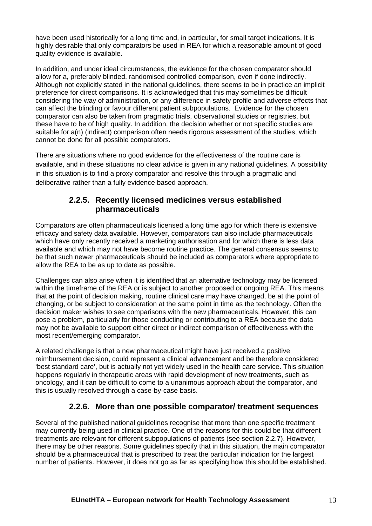have been used historically for a long time and, in particular, for small target indications. It is highly desirable that only comparators be used in REA for which a reasonable amount of good quality evidence is available.

In addition, and under ideal circumstances, the evidence for the chosen comparator should allow for a, preferably blinded, randomised controlled comparison, even if done indirectly. Although not explicitly stated in the national guidelines, there seems to be in practice an implicit preference for direct comparisons. It is acknowledged that this may sometimes be difficult considering the way of administration, or any difference in safety profile and adverse effects that can affect the blinding or favour different patient subpopulations. Evidence for the chosen comparator can also be taken from pragmatic trials, observational studies or registries, but these have to be of high quality. In addition, the decision whether or not specific studies are suitable for a(n) (indirect) comparison often needs rigorous assessment of the studies, which cannot be done for all possible comparators.

There are situations where no good evidence for the effectiveness of the routine care is available, and in these situations no clear advice is given in any national guidelines. A possibility in this situation is to find a proxy comparator and resolve this through a pragmatic and deliberative rather than a fully evidence based approach.

### **2.2.5. Recently licensed medicines versus established pharmaceuticals**

Comparators are often pharmaceuticals licensed a long time ago for which there is extensive efficacy and safety data available. However, comparators can also include pharmaceuticals which have only recently received a marketing authorisation and for which there is less data available and which may not have become routine practice. The general consensus seems to be that such newer pharmaceuticals should be included as comparators where appropriate to allow the REA to be as up to date as possible.

Challenges can also arise when it is identified that an alternative technology may be licensed within the timeframe of the REA or is subject to another proposed or ongoing REA. This means that at the point of decision making, routine clinical care may have changed, be at the point of changing, or be subject to consideration at the same point in time as the technology. Often the decision maker wishes to see comparisons with the new pharmaceuticals. However, this can pose a problem, particularly for those conducting or contributing to a REA because the data may not be available to support either direct or indirect comparison of effectiveness with the most recent/emerging comparator.

A related challenge is that a new pharmaceutical might have just received a positive reimbursement decision, could represent a clinical advancement and be therefore considered 'best standard care', but is actually not yet widely used in the health care service. This situation happens regularly in therapeutic areas with rapid development of new treatments, such as oncology, and it can be difficult to come to a unanimous approach about the comparator, and this is usually resolved through a case-by-case basis.

### **2.2.6. More than one possible comparator/ treatment sequences**

Several of the published national guidelines recognise that more than one specific treatment may currently being used in clinical practice. One of the reasons for this could be that different treatments are relevant for different subpopulations of patients (see section 2.2.7). However, there may be other reasons. Some guidelines specify that in this situation, the main comparator should be a pharmaceutical that is prescribed to treat the particular indication for the largest number of patients. However, it does not go as far as specifying how this should be established.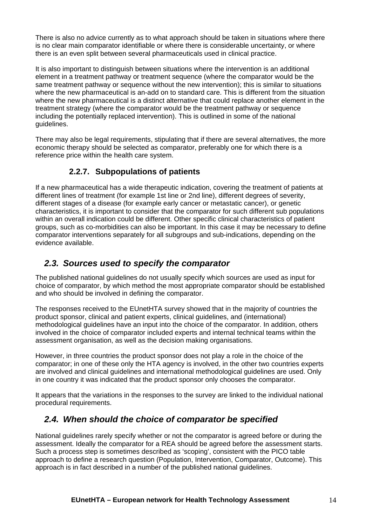There is also no advice currently as to what approach should be taken in situations where there is no clear main comparator identifiable or where there is considerable uncertainty, or where there is an even split between several pharmaceuticals used in clinical practice.

It is also important to distinguish between situations where the intervention is an additional element in a treatment pathway or treatment sequence (where the comparator would be the same treatment pathway or sequence without the new intervention); this is similar to situations where the new pharmaceutical is an-add on to standard care. This is different from the situation where the new pharmaceutical is a distinct alternative that could replace another element in the treatment strategy (where the comparator would be the treatment pathway or sequence including the potentially replaced intervention). This is outlined in some of the national guidelines.

There may also be legal requirements, stipulating that if there are several alternatives, the more economic therapy should be selected as comparator, preferably one for which there is a reference price within the health care system.

### **2.2.7. Subpopulations of patients**

If a new pharmaceutical has a wide therapeutic indication, covering the treatment of patients at different lines of treatment (for example 1st line or 2nd line), different degrees of severity, different stages of a disease (for example early cancer or metastatic cancer), or genetic characteristics, it is important to consider that the comparator for such different sub populations within an overall indication could be different. Other specific clinical characteristics of patient groups, such as co-morbidities can also be important. In this case it may be necessary to define comparator interventions separately for all subgroups and sub-indications, depending on the evidence available.

### *2.3. Sources used to specify the comparator*

<span id="page-13-0"></span>The published national guidelines do not usually specify which sources are used as input for choice of comparator, by which method the most appropriate comparator should be established and who should be involved in defining the comparator.

The responses received to the EUnetHTA survey showed that in the majority of countries the product sponsor, clinical and patient experts, clinical guidelines, and (international) methodological guidelines have an input into the choice of the comparator. In addition, others involved in the choice of comparator included experts and internal technical teams within the assessment organisation, as well as the decision making organisations.

However, in three countries the product sponsor does not play a role in the choice of the comparator; in one of these only the HTA agency is involved, in the other two countries experts are involved and clinical guidelines and international methodological guidelines are used. Only in one country it was indicated that the product sponsor only chooses the comparator.

It appears that the variations in the responses to the survey are linked to the individual national procedural requirements.

### *2.4. When should the choice of comparator be specified*

<span id="page-13-1"></span>National guidelines rarely specify whether or not the comparator is agreed before or during the assessment. Ideally the comparator for a REA should be agreed before the assessment starts. Such a process step is sometimes described as 'scoping', consistent with the PICO table approach to define a research question (Population, Intervention, Comparator, Outcome). This approach is in fact described in a number of the published national guidelines.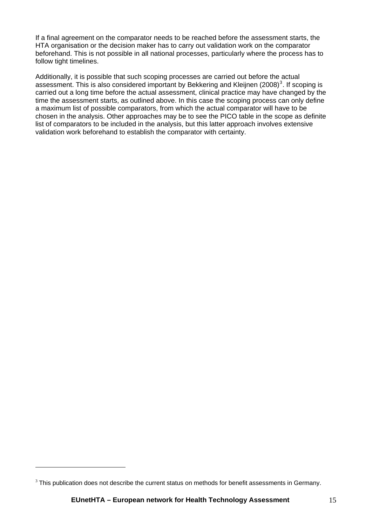If a final agreement on the comparator needs to be reached before the assessment starts, the HTA organisation or the decision maker has to carry out validation work on the comparator beforehand. This is not possible in all national processes, particularly where the process has to follow tight timelines.

Additionally, it is possible that such scoping processes are carried out before the actual assessment. This is also considered important by Bekkering and Kleijnen (2008)<sup>[3](#page-14-0)</sup>. If scoping is carried out a long time before the actual assessment, clinical practice may have changed by the time the assessment starts, as outlined above. In this case the scoping process can only define a maximum list of possible comparators, from which the actual comparator will have to be chosen in the analysis. Other approaches may be to see the PICO table in the scope as definite list of comparators to be included in the analysis, but this latter approach involves extensive validation work beforehand to establish the comparator with certainty.

 $\overline{a}$ 

<span id="page-14-0"></span> $3$  This publication does not describe the current status on methods for benefit assessments in Germany.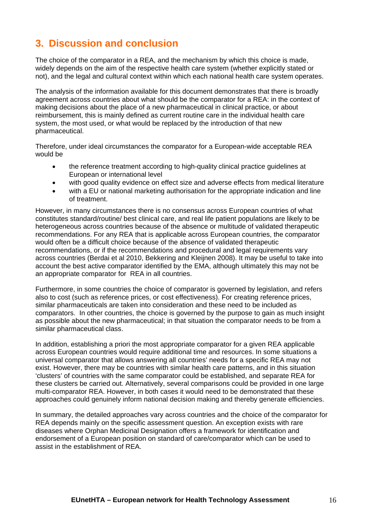# <span id="page-15-0"></span>**3. Discussion and conclusion**

The choice of the comparator in a REA, and the mechanism by which this choice is made, widely depends on the aim of the respective health care system (whether explicitly stated or not), and the legal and cultural context within which each national health care system operates.

The analysis of the information available for this document demonstrates that there is broadly agreement across countries about what should be the comparator for a REA: in the context of making decisions about the place of a new pharmaceutical in clinical practice, or about reimbursement, this is mainly defined as current routine care in the individual health care system, the most used, or what would be replaced by the introduction of that new pharmaceutical.

Therefore, under ideal circumstances the comparator for a European-wide acceptable REA would be

- the reference treatment according to high-quality clinical practice guidelines at European or international level
- with good quality evidence on effect size and adverse effects from medical literature
- with a EU or national marketing authorisation for the appropriate indication and line of treatment.

However, in many circumstances there is no consensus across European countries of what constitutes standard/routine/ best clinical care, and real life patient populations are likely to be heterogeneous across countries because of the absence or multitude of validated therapeutic recommendations. For any REA that is applicable across European countries, the comparator would often be a difficult choice because of the absence of validated therapeutic recommendations, or if the recommendations and procedural and legal requirements vary across countries (Berdai et al 2010, Bekkering and Kleijnen 2008). It may be useful to take into account the best active comparator identified by the EMA, although ultimately this may not be an appropriate comparator for REA in all countries.

Furthermore, in some countries the choice of comparator is governed by legislation, and refers also to cost (such as reference prices, or cost effectiveness). For creating reference prices, similar pharmaceuticals are taken into consideration and these need to be included as comparators. In other countries, the choice is governed by the purpose to gain as much insight as possible about the new pharmaceutical; in that situation the comparator needs to be from a similar pharmaceutical class.

In addition, establishing a priori the most appropriate comparator for a given REA applicable across European countries would require additional time and resources. In some situations a universal comparator that allows answering all countries' needs for a specific REA may not exist. However, there may be countries with similar health care patterns, and in this situation 'clusters' of countries with the same comparator could be established, and separate REA for these clusters be carried out. Alternatively, several comparisons could be provided in one large multi-comparator REA. However, in both cases it would need to be demonstrated that these approaches could genuinely inform national decision making and thereby generate efficiencies.

In summary, the detailed approaches vary across countries and the choice of the comparator for REA depends mainly on the specific assessment question. An exception exists with rare diseases where Orphan Medicinal Designation offers a framework for identification and endorsement of a European position on standard of care/comparator which can be used to assist in the establishment of REA.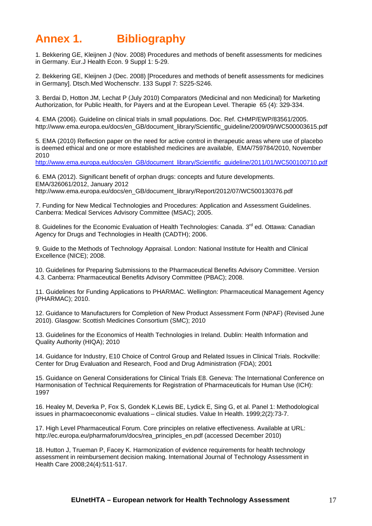# <span id="page-16-0"></span>**Annex 1. Bibliography**

1. Bekkering GE, Kleijnen J (Nov. 2008) Procedures and methods of benefit assessments for medicines in Germany. Eur.J Health Econ. 9 Suppl 1: 5-29.

2. Bekkering GE, Kleijnen J (Dec. 2008) [Procedures and methods of benefit assessments for medicines in Germany]. Dtsch.Med Wochenschr. 133 Suppl 7: S225-S246.

3. Berdai D, Hotton JM, Lechat P (July 2010) Comparators (Medicinal and non Medicinal) for Marketing Authorization, for Public Health, for Payers and at the European Level. Therapie 65 (4): 329-334.

4. EMA (2006). Guideline on clinical trials in small populations. Doc. Ref. CHMP/EWP/83561/2005. http://www.ema.europa.eu/docs/en\_GB/document\_library/Scientific\_guideline/2009/09/WC500003615.pdf

5. EMA (2010) Reflection paper on the need for active control in therapeutic areas where use of placebo is deemed ethical and one or more established medicines are available, EMA/759784/2010, November 2010

[http://www.ema.europa.eu/docs/en\\_GB/document\\_library/Scientific\\_guideline/2011/01/WC500100710.pdf](http://www.ema.europa.eu/docs/en_GB/document_library/Scientific_guideline/2011/01/WC500100710.pdf)

6. EMA (2012). Significant benefit of orphan drugs: concepts and future developments. EMA/326061/2012, January 2012 http://www.ema.europa.eu/docs/en\_GB/document\_library/Report/2012/07/WC500130376.pdf

7. Funding for New Medical Technologies and Procedures: Application and Assessment Guidelines. Canberra: Medical Services Advisory Committee (MSAC); 2005.

8. Guidelines for the Economic Evaluation of Health Technologies: Canada. 3<sup>rd</sup> ed. Ottawa: Canadian Agency for Drugs and Technologies in Health (CADTH); 2006.

9. Guide to the Methods of Technology Appraisal. London: National Institute for Health and Clinical Excellence (NICE); 2008.

10. Guidelines for Preparing Submissions to the Pharmaceutical Benefits Advisory Committee. Version 4.3. Canberra: Pharmaceutical Benefits Advisory Committee (PBAC); 2008.

11. Guidelines for Funding Applications to PHARMAC. Wellington: Pharmaceutical Management Agency (PHARMAC); 2010.

12. Guidance to Manufacturers for Completion of New Product Assessment Form (NPAF) (Revised June 2010). Glasgow: Scottish Medicines Consortium (SMC); 2010

13. Guidelines for the Economics of Health Technologies in Ireland. Dublin: Health Information and Quality Authority (HIQA); 2010

14. Guidance for Industry, E10 Choice of Control Group and Related Issues in Clinical Trials. Rockville: Center for Drug Evaluation and Research, Food and Drug Administration (FDA); 2001

15. Guidance on General Considerations for Clinical Trials E8. Geneva: The International Conference on Harmonisation of Technical Requirements for Registration of Pharmaceuticals for Human Use (ICH): 1997

16. Healey M, Deverka P, Fox S, Gondek K,Lewis BE, Lydick E, Sing G, et al. Panel 1: Methodological issues in pharmacoeconomic evaluations – clinical studies. Value In Health. 1999;2(2):73-7.

17. High Level Pharmaceutical Forum. Core principles on relative effectiveness. Available at URL: http://ec.europa.eu/pharmaforum/docs/rea\_principles\_en.pdf (accessed December 2010)

18. Hutton J, Trueman P, Facey K. Harmonization of evidence requirements for health technology assessment in reimbursement decision making. International Journal of Technology Assessment in Health Care 2008;24(4):511-517.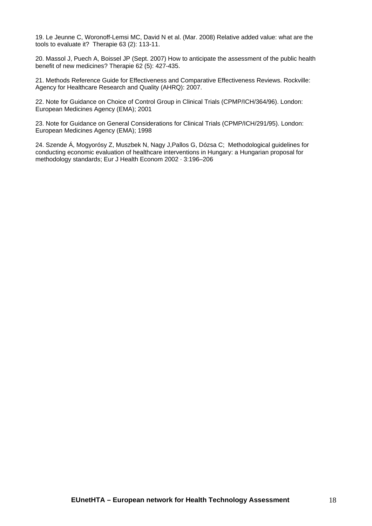19. Le Jeunne C, Woronoff-Lemsi MC, David N et al. (Mar. 2008) Relative added value: what are the tools to evaluate it? Therapie 63 (2): 113-11.

20. Massol J, Puech A, Boissel JP (Sept. 2007) How to anticipate the assessment of the public health benefit of new medicines? Therapie 62 (5): 427-435.

21. Methods Reference Guide for Effectiveness and Comparative Effectiveness Reviews. Rockville: Agency for Healthcare Research and Quality (AHRQ): 2007.

22. Note for Guidance on Choice of Control Group in Clinical Trials (CPMP/ICH/364/96). London: European Medicines Agency (EMA); 2001

23. Note for Guidance on General Considerations for Clinical Trials (CPMP/ICH/291/95). London: European Medicines Agency (EMA); 1998

24. Szende Á, Mogyorósy Z, Muszbek N, Nagy J,Pallos G, Dózsa C; Methodological guidelines for conducting economic evaluation of healthcare interventions in Hungary: a Hungarian proposal for methodology standards; Eur J Health Econom 2002 · 3:196–206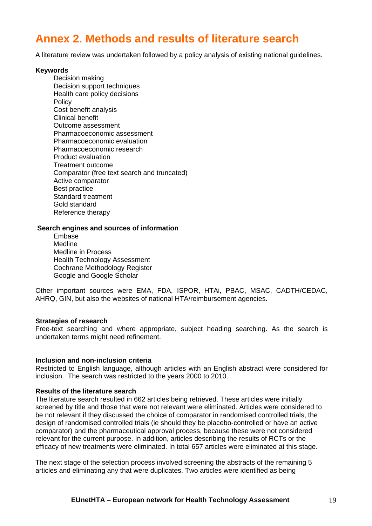# <span id="page-18-0"></span>**Annex 2. Methods and results of literature search**

A literature review was undertaken followed by a policy analysis of existing national guidelines.

#### **Keywords**

Decision making Decision support techniques Health care policy decisions **Policy** Cost benefit analysis Clinical benefit Outcome assessment Pharmacoeconomic assessment Pharmacoeconomic evaluation Pharmacoeconomic research Product evaluation Treatment outcome Comparator (free text search and truncated) Active comparator Best practice Standard treatment Gold standard Reference therapy

#### **Search engines and sources of information**

Embase **Medline** Medline in Process [Health Technology Assessment](http://www.crd.york.ac.uk/crdweb/) [Cochrane Methodology Register](http://onlinelibrary.wiley.com/o/cochrane/cochrane_clcmr_articles_fs.html) Google and Google Scholar

Other important sources were EMA, FDA, ISPOR, HTAi, PBAC, MSAC, CADTH/CEDAC, AHRQ, GIN, but also the websites of national HTA/reimbursement agencies.

#### **Strategies of research**

Free-text searching and where appropriate, subject heading searching. As the search is undertaken terms might need refinement.

#### **Inclusion and non-inclusion criteria**

Restricted to English language, although articles with an English abstract were considered for inclusion. The search was restricted to the years 2000 to 2010.

#### **Results of the literature search**

The literature search resulted in 662 articles being retrieved. These articles were initially screened by title and those that were not relevant were eliminated. Articles were considered to be not relevant if they discussed the choice of comparator in randomised controlled trials, the design of randomised controlled trials (ie should they be placebo-controlled or have an active comparator) and the pharmaceutical approval process, because these were not considered relevant for the current purpose. In addition, articles describing the results of RCTs or the efficacy of new treatments were eliminated. In total 657 articles were eliminated at this stage.

The next stage of the selection process involved screening the abstracts of the remaining 5 articles and eliminating any that were duplicates. Two articles were identified as being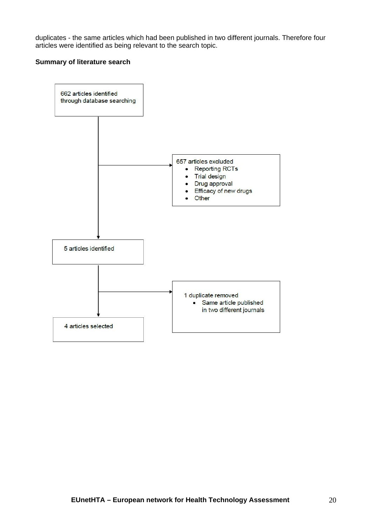duplicates - the same articles which had been published in two different journals. Therefore four articles were identified as being relevant to the search topic.

#### **Summary of literature search**

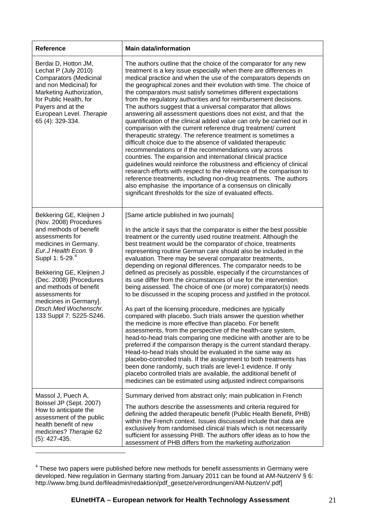| <b>Reference</b>                                                                                                                                                                                                                                                                                                                                                  | <b>Main data/information</b>                                                                                                                                                                                                                                                                                                                                                                                                                                                                                                                                                                                                                                                                                                                                                                                                                                                                                                                                                                                                                                                                                                                                                                                                                                                                                                                                                                                                                                                                          |
|-------------------------------------------------------------------------------------------------------------------------------------------------------------------------------------------------------------------------------------------------------------------------------------------------------------------------------------------------------------------|-------------------------------------------------------------------------------------------------------------------------------------------------------------------------------------------------------------------------------------------------------------------------------------------------------------------------------------------------------------------------------------------------------------------------------------------------------------------------------------------------------------------------------------------------------------------------------------------------------------------------------------------------------------------------------------------------------------------------------------------------------------------------------------------------------------------------------------------------------------------------------------------------------------------------------------------------------------------------------------------------------------------------------------------------------------------------------------------------------------------------------------------------------------------------------------------------------------------------------------------------------------------------------------------------------------------------------------------------------------------------------------------------------------------------------------------------------------------------------------------------------|
| Berdai D, Hotton JM,<br>Lechat P (July 2010)<br><b>Comparators (Medicinal</b><br>and non Medicinal) for<br>Marketing Authorization,<br>for Public Health, for<br>Payers and at the<br>European Level. Therapie<br>65 (4): 329-334.                                                                                                                                | The authors outline that the choice of the comparator for any new<br>treatment is a key issue especially when there are differences in<br>medical practice and when the use of the comparators depends on<br>the geographical zones and their evolution with time. The choice of<br>the comparators must satisfy sometimes different expectations<br>from the regulatory authorities and for reimbursement decisions.<br>The authors suggest that a universal comparator that allows<br>answering all assessment questions does not exist, and that the<br>quantification of the clinical added value can only be carried out in<br>comparison with the current reference drug treatment/ current<br>therapeutic strategy. The reference treatment is sometimes a<br>difficult choice due to the absence of validated therapeutic<br>recommendations or if the recommendations vary across<br>countries. The expansion and international clinical practice<br>guidelines would reinforce the robustness and efficiency of clinical<br>research efforts with respect to the relevance of the comparison to<br>reference treatments, including non-drug treatments. The authors<br>also emphasise the importance of a consensus on clinically<br>significant thresholds for the size of evaluated effects.                                                                                                                                                                                              |
| Bekkering GE, Kleijnen J<br>(Nov. 2008) Procedures<br>and methods of benefit<br>assessments for<br>medicines in Germany.<br>Eur.J Health Econ. 9<br>Suppl 1: 5-29. <sup>4</sup><br>Bekkering GE, Kleijnen J<br>(Dec. 2008) [Procedures<br>and methods of benefit<br>assessments for<br>medicines in Germany].<br>Dtsch.Med Wochenschr.<br>133 Suppl 7: S225-S246. | [Same article published in two journals]<br>In the article it says that the comparator is either the best possible<br>treatment or the currently used routine treatment. Although the<br>best treatment would be the comparator of choice, treatments<br>representing routine German care should also be included in the<br>evaluation. There may be several comparator treatments,<br>depending on regional differences. The comparator needs to be<br>defined as precisely as possible, especially if the circumstances of<br>its use differ from the circumstances of use for the intervention<br>being assessed. The choice of one (or more) comparator(s) needs<br>to be discussed in the scoping process and justified in the protocol.<br>As part of the licensing procedure, medicines are typically<br>compared with placebo. Such trials answer the question whether<br>the medicine is more effective than placebo. For benefit<br>assessments, from the perspective of the health-care system,<br>head-to-head trials comparing one medicine with another are to be<br>preferred if the comparison therapy is the current standard therapy.<br>Head-to-head trials should be evaluated in the same way as<br>placebo-controlled trials. If the assignment to both treatments has<br>been done randomly, such trials are level-1 evidence. If only<br>placebo controlled trials are available, the additional benefit of<br>medicines can be estimated using adjusted indirect comparisons |
| Massol J, Puech A,<br>Boissel JP (Sept. 2007)<br>How to anticipate the<br>assessment of the public<br>health benefit of new<br>medicines? Therapie 62<br>$(5): 427 - 435.$                                                                                                                                                                                        | Summary derived from abstract only; main publication in French<br>The authors describe the assessments and criteria required for<br>defining the added therapeutic benefit (Public Health Benefit, PHB)<br>within the French context. Issues discussed include that data are<br>exclusively from randomised clinical trials which is not necessarily<br>sufficient for assessing PHB. The authors offer ideas as to how the<br>assessment of PHB differs from the marketing authorization                                                                                                                                                                                                                                                                                                                                                                                                                                                                                                                                                                                                                                                                                                                                                                                                                                                                                                                                                                                                             |

<span id="page-20-0"></span> $4$  These two papers were published before new methods for benefit assessments in Germany were developed. New regulation in Germany starting from January 2011 can be found at AM-NutzenV § 6: http://www.bmg.bund.de/fileadmin/redaktion/pdf\_gesetze/verordnungen/AM-NutzenV.pdf]

 $\overline{a}$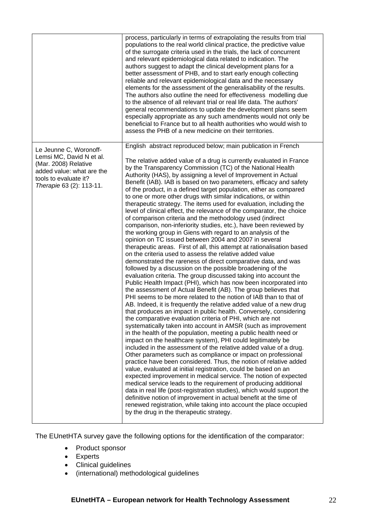|                                                                                                                                                              | process, particularly in terms of extrapolating the results from trial<br>populations to the real world clinical practice, the predictive value<br>of the surrogate criteria used in the trials, the lack of concurrent<br>and relevant epidemiological data related to indication. The<br>authors suggest to adapt the clinical development plans for a<br>better assessment of PHB, and to start early enough collecting<br>reliable and relevant epidemiological data and the necessary<br>elements for the assessment of the generalisability of the results.<br>The authors also outline the need for effectiveness modelling due<br>to the absence of all relevant trial or real life data. The authors'<br>general recommendations to update the development plans seem<br>especially appropriate as any such amendments would not only be<br>beneficial to France but to all health authorities who would wish to<br>assess the PHB of a new medicine on their territories.                                                                                                                                                                                                                                                                                                                                                                                                                                                                                                                                                                                                                                                                                                                                                                                                                                                                                                                                                                                                                                                                                                                                                                                                                                                                                                                                                                                                                                                                                                                                                                |
|--------------------------------------------------------------------------------------------------------------------------------------------------------------|----------------------------------------------------------------------------------------------------------------------------------------------------------------------------------------------------------------------------------------------------------------------------------------------------------------------------------------------------------------------------------------------------------------------------------------------------------------------------------------------------------------------------------------------------------------------------------------------------------------------------------------------------------------------------------------------------------------------------------------------------------------------------------------------------------------------------------------------------------------------------------------------------------------------------------------------------------------------------------------------------------------------------------------------------------------------------------------------------------------------------------------------------------------------------------------------------------------------------------------------------------------------------------------------------------------------------------------------------------------------------------------------------------------------------------------------------------------------------------------------------------------------------------------------------------------------------------------------------------------------------------------------------------------------------------------------------------------------------------------------------------------------------------------------------------------------------------------------------------------------------------------------------------------------------------------------------------------------------------------------------------------------------------------------------------------------------------------------------------------------------------------------------------------------------------------------------------------------------------------------------------------------------------------------------------------------------------------------------------------------------------------------------------------------------------------------------------------------------------------------------------------------------------------------------|
| Le Jeunne C, Woronoff-<br>Lemsi MC, David N et al.<br>(Mar. 2008) Relative<br>added value: what are the<br>tools to evaluate it?<br>Therapie 63 (2): 113-11. | English abstract reproduced below; main publication in French<br>The relative added value of a drug is currently evaluated in France<br>by the Transparency Commission (TC) of the National Health<br>Authority (HAS), by assigning a level of Improvement in Actual<br>Benefit (IAB). IAB is based on two parameters, efficacy and safety<br>of the product, in a defined target population, either as compared<br>to one or more other drugs with similar indications, or within<br>therapeutic strategy. The items used for evaluation, including the<br>level of clinical effect, the relevance of the comparator, the choice<br>of comparison criteria and the methodology used (indirect<br>comparison, non-inferiority studies, etc.), have been reviewed by<br>the working group in Giens with regard to an analysis of the<br>opinion on TC issued between 2004 and 2007 in several<br>therapeutic areas. First of all, this attempt at rationalisation based<br>on the criteria used to assess the relative added value<br>demonstrated the rareness of direct comparative data, and was<br>followed by a discussion on the possible broadening of the<br>evaluation criteria. The group discussed taking into account the<br>Public Health Impact (PHI), which has now been incorporated into<br>the assessment of Actual Benefit (AB). The group believes that<br>PHI seems to be more related to the notion of IAB than to that of<br>AB. Indeed, it is frequently the relative added value of a new drug<br>that produces an impact in public health. Conversely, considering<br>the comparative evaluation criteria of PHI, which are not<br>systematically taken into account in AMSR (such as improvement<br>in the health of the population, meeting a public health need or<br>impact on the healthcare system), PHI could legitimately be<br>included in the assessment of the relative added value of a drug.<br>Other parameters such as compliance or impact on professional<br>practice have been considered. Thus, the notion of relative added<br>value, evaluated at initial registration, could be based on an<br>expected improvement in medical service. The notion of expected<br>medical service leads to the requirement of producing additional<br>data in real life (post-registration studies), which would support the<br>definitive notion of improvement in actual benefit at the time of<br>renewed registration, while taking into account the place occupied<br>by the drug in the therapeutic strategy. |

The EUnetHTA survey gave the following options for the identification of the comparator:

- Product sponsor
- Experts
- Clinical guidelines
- (international) methodological guidelines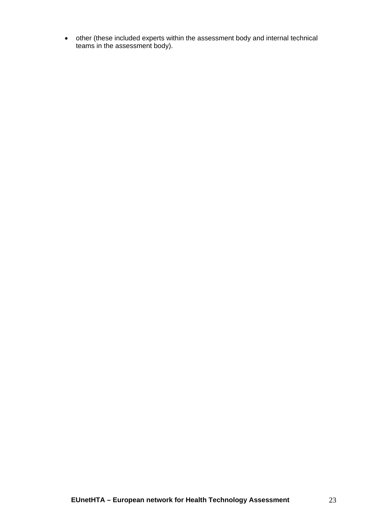other (these included experts within the assessment body and internal technical teams in the assessment body).